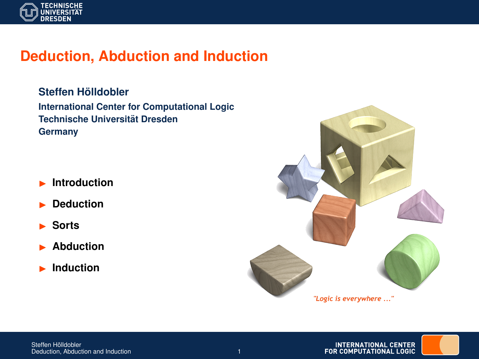

# **Deduction, Abduction and Induction**

 $Steffen H<sub>o</sub>$ *ildobler* **International Center for Computational Logic Technische Universitat Dresden ¨ Germany**

- **Introduction**
- I **Deduction**
- I **Sorts**
- I **Abduction**
- **Induction**



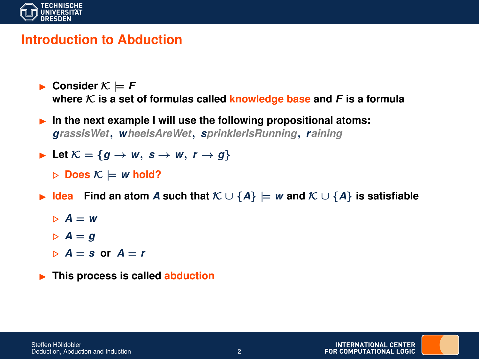

## **Introduction to Abduction**

- **Consider**  $K \models F$ where  $K$  is a set of formulas called **knowledge** base and  $F$  is a formula
- **In the next example I will use the following propositional atoms:** *grassIsWet*, *wheelsAreWet*, *sprinklerIsRunning*, *raining*
- ► Let  $K = \{g \rightarrow w, s \rightarrow w, r \rightarrow g\}$

 $\triangleright$  Does  $\mathcal{K} \models w$  hold?

- **►** Idea Find an atom A such that  $K \cup \{A\} \models w$  and  $K \cup \{A\}$  is satisfiable
	- $\triangleright$   $A = w$
	- $\triangleright$   $A = q$
	- $A = s$  or  $A = r$
- **FRIME:** This process is called **abduction**

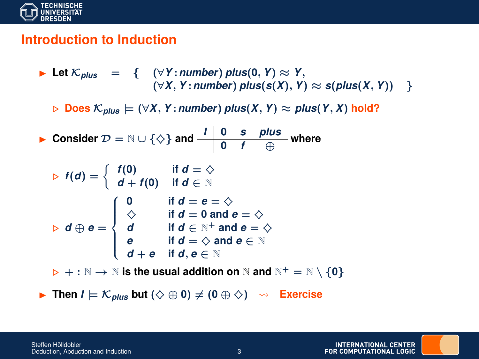

## **Introduction to Induction**

Let 
$$
K_{plus}
$$
 = {  $(\forall Y : number) plus(0, Y) \approx Y,$   
\n $(\forall X, Y : number) plus(s(X), Y) \approx s(plus(X, Y))$  }  
\n $\triangleright$  Does  $K_{plus}$  =  $(\forall X, Y : number) plus(X, Y) \approx plus(Y, X) hold?$   
\n $\triangleright$  Consider  $\mathcal{D} = \mathbb{N} \cup \{\diamond\}$  and  $\frac{1}{0} \frac{0 \cdot s}{f} \frac{plus}{\oplus}$  where  
\n $\triangleright$   $f(d) = \begin{cases} f(0) & \text{if } d = \diamondsuit \\ d + f(0) & \text{if } d \in \mathbb{N} \end{cases}$   
\n $\triangleright$  d  $\oplus$  e =  $\begin{cases} 0 & \text{if } d = e = \diamondsuit \\ \diamondsuit & \text{if } d = 0 \text{ and } e = \diamondsuit \\ d & \text{if } d \in \mathbb{N}^+ \text{ and } e = \diamondsuit \\ e & \text{if } d = \diamondsuit \text{ and } e \in \mathbb{N} \\ d + e & \text{if } d, e \in \mathbb{N} \end{cases}$   
\n $\triangleright + : \mathbb{N} \rightarrow \mathbb{N}$  is the usual addition on  $\mathbb{N}$  and  $\mathbb{N}^+ = \mathbb{N} \setminus \{0\}$ 

**► Then**  $I \models \mathcal{K}_{plus}$  but  $(\diamondsuit \oplus 0) \neq (0 \oplus \diamondsuit) \rightarrow \mathsf{Exercise}$ 

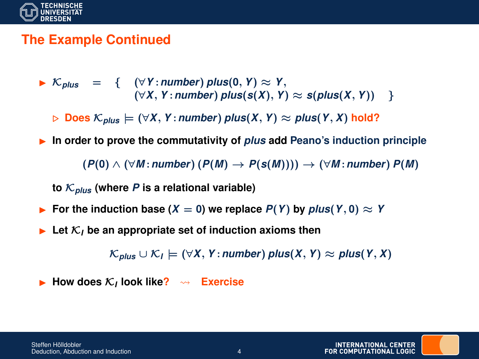

### **The Example Continued**

I K*plus* = { (∀*Y* :*number*) *plus*(**0**, *Y*) ≈ *Y*,  $(∀X, Y: number) plus(s(X), Y) ≈ s(plus(X, Y))$  }

 $\triangleright$  Does  $\mathcal{K}_{plus} \models (\forall X, Y: number)$  *plus*(*X*, *Y*)  $\approx$  *plus*(*Y*, *X*) hold?

**▶ In order to prove the commutativity of** *plus* **add Peano's induction principle** 

 $(P(0) \wedge (\forall M : number) (P(M) \rightarrow P(s(M)))) \rightarrow (\forall M : number) P(M)$ 

to  $\mathcal{K}_{plus}$  (where *P* is a relational variable)

- **►** For the induction base  $(X = 0)$  we replace  $P(Y)$  by  $plus(Y, 0) \approx Y$
- $\blacktriangleright$  Let  $\mathcal{K}_I$  be an appropriate set of induction axioms then

 $\mathcal{K}_{\text{plus}} \cup \mathcal{K}_{\textit{I}} \models (\forall X, Y \colon \text{number}) \text{ plus } (X, Y) ≈ \text{plus}(Y, X)$ 

▶ How does  $K_I$  look like?  $\rightarrow$  Exercise

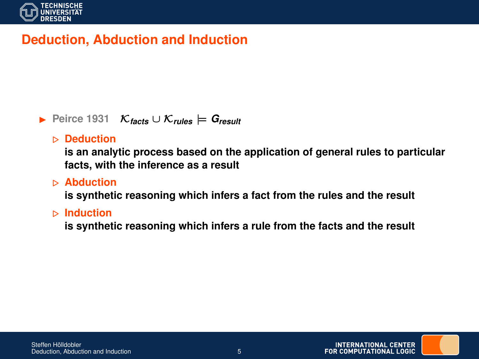

# **Deduction, Abduction and Induction**

#### I **Peirce 1931** K*facts* ∪ K*rules* |= *Gresult*

#### . **Deduction**

**is an analytic process based on the application of general rules to particular facts, with the inference as a result**

#### . **Abduction**

**is synthetic reasoning which infers a fact from the rules and the result**

#### . **Induction**

**is synthetic reasoning which infers a rule from the facts and the result**

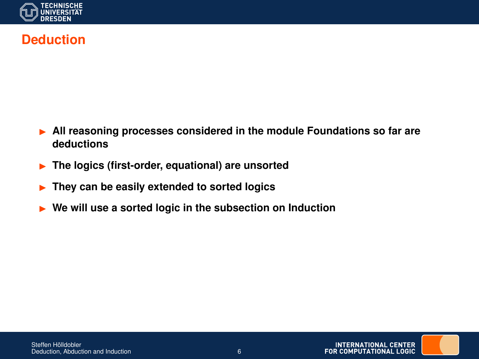

## **Deduction**

- I **All reasoning processes considered in the module Foundations so far are deductions**
- **Fig. 2** The logics (first-order, equational) are unsorted
- I **They can be easily extended to sorted logics**
- ▶ We will use a sorted logic in the subsection on Induction

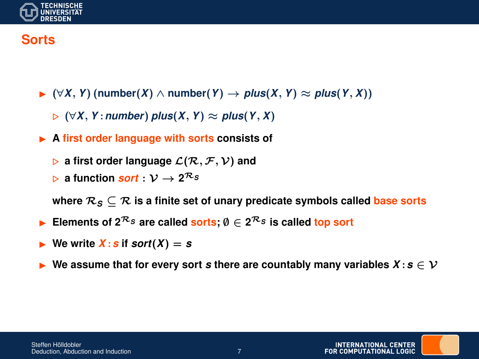

## **Sorts**

- I (∀*X*, *Y*) (**number**(*X*) ∧ **number**(*Y*) → *plus*(*X*, *Y*) ≈ *plus*(*Y*, *X*))
	- . (∀*X*, *Y* :*number*) *plus*(*X*, *Y*) ≈ *plus*(*Y*, *X*)
- ▶ A first order language with sorts consists of
	- $\triangleright$  a first order language  $\mathcal{L}(\mathcal{R}, \mathcal{F}, \mathcal{V})$  and
	- $\triangleright$  a function *sort* :  $\mathcal{V} \rightarrow 2^{\mathcal{R}_S}$

where  $\mathcal{R}_S \subseteq \mathcal{R}$  is a finite set of unary predicate symbols called base sorts

- Elements of  $2^{\mathcal{R}_S}$  are called sorts;  $\emptyset \in 2^{\mathcal{R}_S}$  is called top sort
- We write  $X$ : *s* if *sort*( $X$ ) = *s*
- **■** We assume that for every sort *s* there are countably many variables  $X : s \in V$

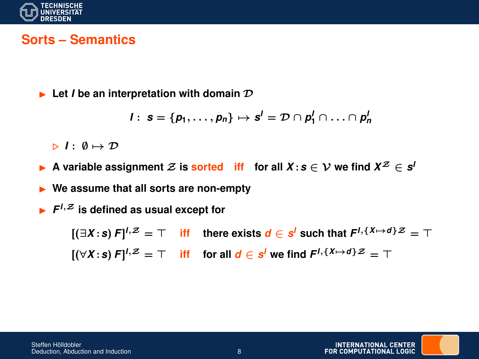

### **Sorts – Semantics**

 $\blacktriangleright$  Let *I* be an interpretation with domain  $\mathcal{D}$ 

$$
I: s = \{p_1, \ldots, p_n\} \mapsto s^I = \mathcal{D} \cap p_1^I \cap \ldots \cap p_n^I
$$

 $\triangleright$  *I* :  $\emptyset \mapsto \mathcal{D}$ 

 $\blacktriangleright$  A variable assignment  $\mathcal{Z}$  is sorted iff for all  $X : s \in \mathcal{V}$  we find  $X^{\mathcal{Z}} \in s^{\mathcal{U}}$ 

▶ We assume that all sorts are non-empty

 $\blacktriangleright$   $F^{1, z}$  is defined as usual except for

 $[(\exists X \cdot s) F]^{l, \mathcal{Z}} = \top$  iff there exists  $d \in s^l$  such that  $F^{l, \{X \mapsto d\} \mathcal{Z}} = \top$  $[(\forall X \cdot \mathbf{s}) \ F]^{1,\mathcal{Z}} = \top$  iff for all  $\mathbf{d} \in \mathbf{s}^l$  we find  $F^{1,\{X \mapsto d\} \mathcal{Z}} = \top$ 

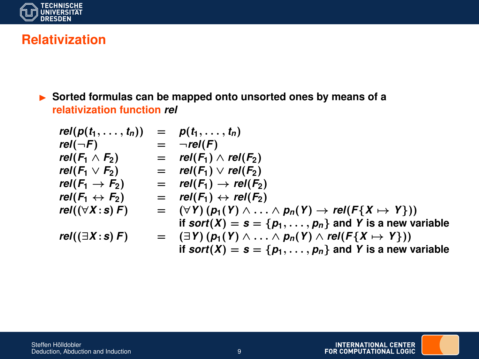

## **Relativization**

 $\triangleright$  Sorted formulas can be mapped onto unsorted ones by means of a **relativization function** *rel*

$$
rel(p(t_1,...,t_n)) = p(t_1,...,t_n)
$$
  
\n
$$
rel(\neg F) = \neg rel(F)
$$
  
\n
$$
rel(F_1 \wedge F_2) = rel(F_1) \wedge rel(F_2)
$$
  
\n
$$
rel(F_1 \rightarrow F_2) = rel(F_1) \vee rel(F_2)
$$
  
\n
$$
rel(F_1 \rightarrow F_2) = rel(F_1) \rightarrow rel(F_2)
$$
  
\n
$$
rel(F_1 \leftrightarrow F_2) = rel(F_1) \leftrightarrow rel(F_2)
$$
  
\n
$$
rel((\forall X:s)F) = (\forall Y) (p_1(Y) \wedge ... \wedge p_n(Y) \rightarrow rel(F\{X \mapsto Y\}))
$$
  
\nif sort(X) = s = {p\_1, ..., p\_n} and Y is a new variable  
\n
$$
rel((\exists X:s)F) = (\exists Y) (p_1(Y) \wedge ... \wedge p_n(Y) \wedge rel(F\{X \mapsto Y\}))
$$
  
\nif sort(X) = s = {p\_1, ..., p\_n} and Y is a new variable



INTERNATIONAL CENTER<br>FOR COMPUTATIONAL LOGIC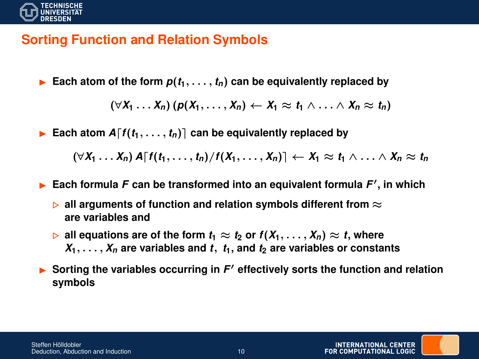

## **Sorting Function and Relation Symbols**

Each atom of the form  $p(t_1, \ldots, t_n)$  can be equivalently replaced by

 $(\forall X_1 \ldots X_n)$   $(p(X_1, \ldots, X_n) \leftarrow X_1 \approx t_1 \wedge \ldots \wedge X_n \approx t_n)$ 

Each atom  $A[f(t_1, \ldots, t_n)]$  can be equivalently replaced by

 $(\forall X_1 \ldots X_n)$   $A[f(t_1, \ldots, t_n)/f(X_1, \ldots, X_n)] \leftarrow X_1 \approx t_1 \wedge \ldots \wedge X_n \approx t_n$ 

**Each formula F can be transformed into an equivalent formula**  $F'$ **, in which** 

- $\triangleright$  **all arguments of function and relation symbols different from**  $\approx$ **are variables and**
- $\triangleright$  all equations are of the form  $t_1 \approx t_2$  or  $f(X_1, \ldots, X_n) \approx t$ , where  $X_1, \ldots, X_n$  are variables and *t*,  $t_1$ , and  $t_2$  are variables or constants
- **Sorting the variables occurring in F' effectively sorts the function and relation symbols**

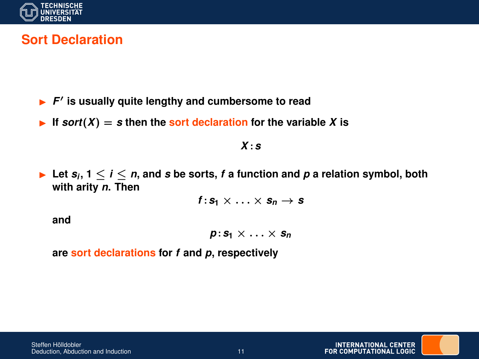

## **Sort Declaration**

- **F'** is usually quite lengthy and cumbersome to read
- If  $\text{sort}(X) = s$  then the sort declaration for the variable X is

*X* :*s*

▶ Let  $s_i$ ,  $1 \leq i \leq n$ , and *s* be sorts, *f* a function and *p* a relation symbol, both **with arity** *n***. Then**

 $f: S_1 \times \ldots \times S_n \rightarrow S$ 

**and**

*p* :*s***<sup>1</sup>** × . . . × *s<sup>n</sup>*

**are sort declarations for** *f* **and** *p***, respectively**

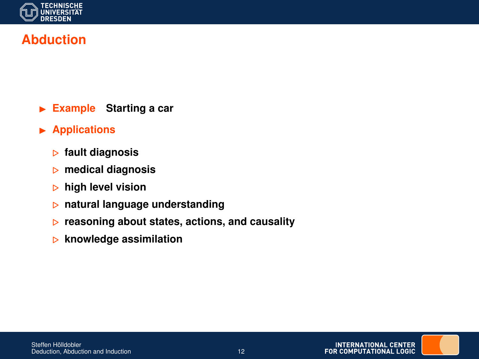

# **Abduction**

- **Example** Starting a car
- **Applications** 
	- . **fault diagnosis**
	- . **medical diagnosis**
	- . **high level vision**
	- . **natural language understanding**
	- . **reasoning about states, actions, and causality**
	- . **knowledge assimilation**

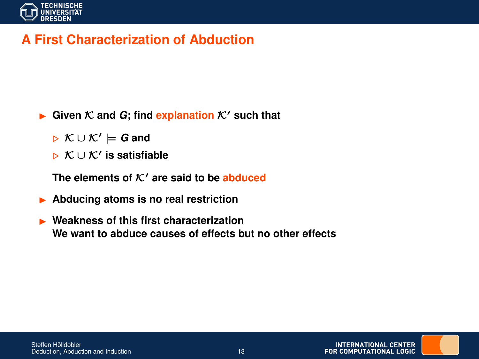

# **A First Characterization of Abduction**

- **Figure** Given  $K$  and  $G$ ; find **explanation**  $K'$  such that
	- . K ∪ K<sup>0</sup> |= *G* **and**
	- . K ∪ K<sup>0</sup> **is satisfiable**

The elements of  $K'$  are said to be abduced

- I **Abducing atoms is no real restriction**
- **► Weakness of this first characterization We want to abduce causes of effects but no other effects**

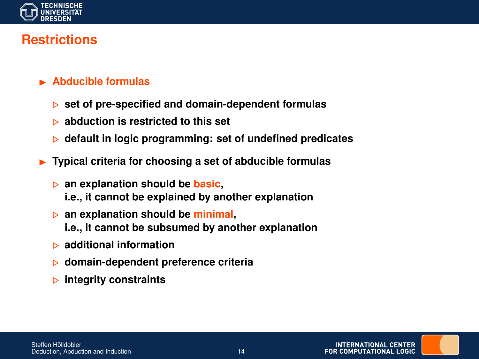

# **Restrictions**

- **E** Abducible formulas
	- . **set of pre-specified and domain-dependent formulas**
	- . **abduction is restricted to this set**
	- . **default in logic programming: set of undefined predicates**
- I **Typical criteria for choosing a set of abducible formulas**
	- . **an explanation should be basic, i.e., it cannot be explained by another explanation**
	- . **an explanation should be minimal,**
		- **i.e., it cannot be subsumed by another explanation**
	- . **additional information**
	- . **domain-dependent preference criteria**
	- . **integrity constraints**

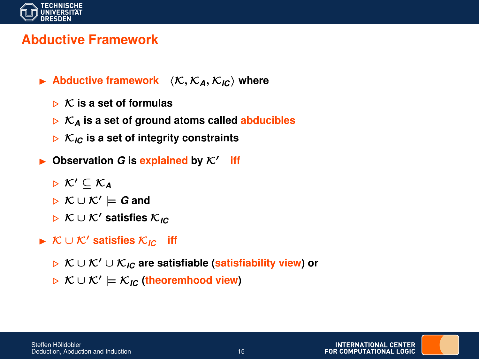

## **Abductive Framework**

- $\blacktriangleright$  **Abductive framework**  $\langle K, \mathcal{K}_A, \mathcal{K}_I \rangle$  where
	- $\triangleright$  K is a set of formulas
	- $\triangleright$   $\mathcal{K}_A$  is a set of ground atoms called **abducibles**
	- $\triangleright$  K<sub>IC</sub> is a set of integrity constraints
- $\triangleright$  Observation *G* is explained by  $K'$  iff
	- $\triangleright$  K'  $\subset$  K<sub>A</sub>
	- . K ∪ K<sup>0</sup> |= *G* **and**
	- . K ∪ K<sup>0</sup> **satisfies** K*IC*
- **► K** ∪ K' satisfies  $K_{IC}$  iff
	- . K ∪ K<sup>0</sup> ∪ K*IC* **are satisfiable (satisfiability view) or**
	- . K ∪ K<sup>0</sup> |= K*IC* **(theoremhood view)**

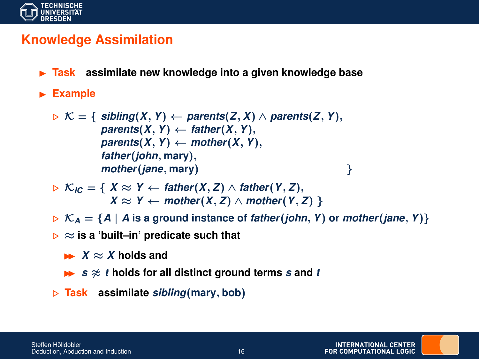

### **Knowledge Assimilation**

- **Fask** assimilate new knowledge into a given knowledge base
- **Example**

$$
\triangleright \mathcal{K} = \{ \text{ sibling}(X, Y) \leftarrow \text{parents}(Z, X) \land \text{parents}(Z, Y), \\ \text{parents}(X, Y) \leftarrow \text{father}(X, Y), \\ \text{parents}(X, Y) \leftarrow \text{mother}(X, Y), \\ \text{father}(john, \text{mary}), \\ \text{mother}(jane, \text{mary}) \}
$$

- $\triangleright$  K<sub>IC</sub> = {  $X \approx Y$  ← *father*(*X*, *Z*) ∧ *father*(*Y*, *Z*), *X* ≈ *Y* ← *mother*(*X*, *Z*) ∧ *mother*(*Y*, *Z*) }
- $\triangleright$   $\mathcal{K}_A = \{A \mid A \text{ is a ground instance of } father(john, Y) \text{ or } mother(jane, Y)\}$
- $\triangleright \approx$  is a 'built-in' predicate such that
	- $X \approx X$  holds and
	- $\rightarrow$  *s*  $\approx$  *t* holds for all distinct ground terms *s* and *t*
- . **Task assimilate** *sibling*(**mary**, **bob**)

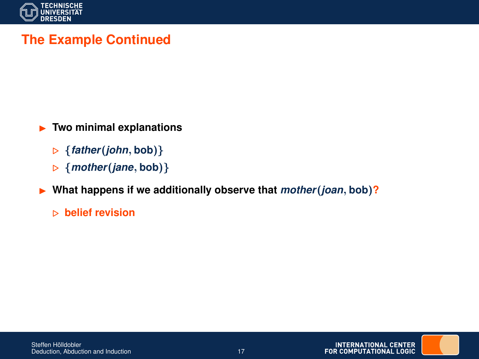

# **The Example Continued**

**F** Two minimal explanations

- . {*father*(*john*, **bob**)}
- . {*mother*(*jane*, **bob**)}

▶ What happens if we additionally observe that *mother*(*joan*, bob)?

. **belief revision**

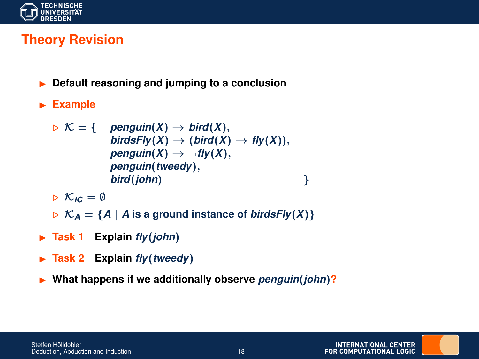

# **Theory Revision**

- I **Default reasoning and jumping to a conclusion**
- **Example**

$$
\triangleright \mathcal{K} = \{ \quad \text{penguin}(X) \rightarrow \text{bird}(X), \\ \text{birdsFly}(X) \rightarrow (\text{bird}(X) \rightarrow \text{fly}(X)), \\ \text{penguin}(X) \rightarrow \neg \text{fly}(X), \\ \text{penguin}(tweedy), \\ \text{bird}(john) \qquad \}
$$

 $\triangleright$  K<sub>IC</sub> = Ø

- $\triangleright$  K<sub>A</sub> = {A | A is a ground instance of *birdsFly(X)*}
- ▶ Task 1 **Explain** *fly*(*john*)
- ▶ Task 2 **Explain** *fly*(*tweedy*)
- I **What happens if we additionally observe** *penguin*(*john*)**?**

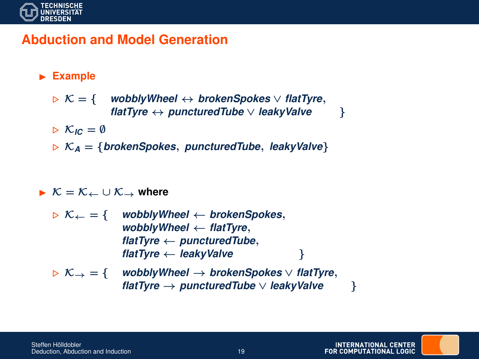

## **Abduction and Model Generation**

#### **Example**

. K = { *wobblyWheel* ↔ *brokenSpokes* ∨ *flatTyre*, *flatTyre* ↔ *puncturedTube* ∨ *leakyValve* }

 $\triangleright$  K<sub>IC</sub> = Ø

 $\triangleright$  K<sub>A</sub> = {*brokenSpokes, puncturedTube, leakyValve*}

#### $\triangleright \mathcal{K} = \mathcal{K}_{\leftarrow} \cup \mathcal{K}_{\rightarrow}$  where

. K<sup>←</sup> = { *wobblyWheel* ← *brokenSpokes*, *wobblyWheel* ← *flatTyre*, *flatTyre* ← *puncturedTube*, *flatTyre* ← *leakyValve* } . K<sup>→</sup> = { *wobblyWheel* → *brokenSpokes* ∨ *flatTyre*, *flatTyre* → *puncturedTube* ∨ *leakyValve* }

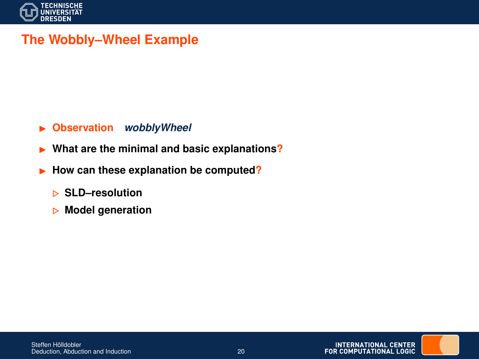

# **The Wobbly–Wheel Example**

#### I **Observation** *wobblyWheel*

- **I** What are the minimal and basic explanations?
- **In How can these explanation be computed?** 
	- . **SLD–resolution**
	- . **Model generation**

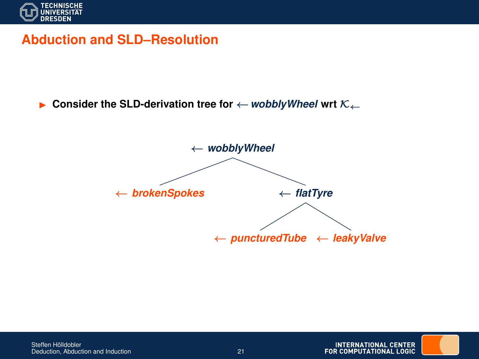

#### **Abduction and SLD–Resolution**

**Example 1** Consider the SLD-derivation tree for  $\leftarrow$  *wobblyWheel* wrt  $\kappa_{\leftarrow}$ 





**INTERNATIONAL CENTER** FOR COMPUTATIONAL LOGIC

Steffen Hölldobler Deduction, Abduction and Induction 21 and 21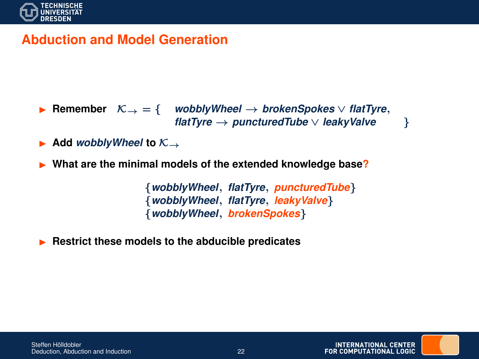

## **Abduction and Model Generation**

- Remember  $K_{\rightarrow} = \{$  *wobblyWheel*  $\rightarrow$  *brokenSpokes*  $\vee$  *flatTyre*, *flatTyre* → *puncturedTube* ∨ *leakyValve* }
- Add *wobblyWheel* to  $K \rightarrow$
- I **What are the minimal models of the extended knowledge base?**

{*wobblyWheel*, *flatTyre*, *puncturedTube*} {*wobblyWheel*, *flatTyre*, *leakyValve*} {*wobblyWheel*, *brokenSpokes*}

I **Restrict these models to the abducible predicates**

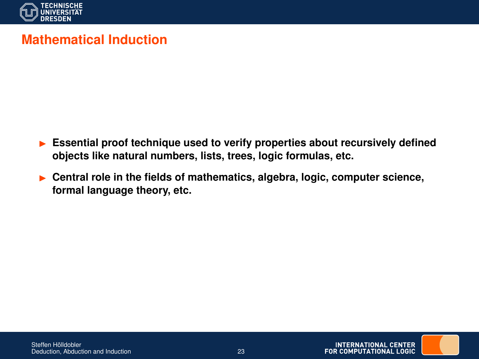

# **Mathematical Induction**

- I **Essential proof technique used to verify properties about recursively defined objects like natural numbers, lists, trees, logic formulas, etc.**
- **Central role in the fields of mathematics, algebra, logic, computer science, formal language theory, etc.**



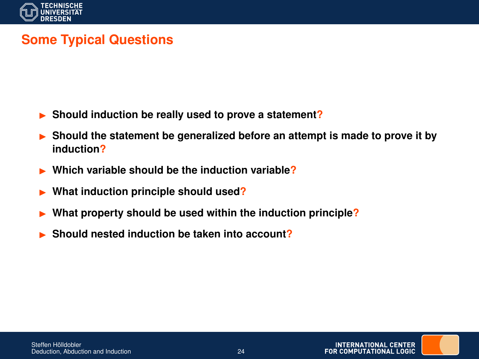

# **Some Typical Questions**

- I **Should induction be really used to prove a statement?**
- I **Should the statement be generalized before an attempt is made to prove it by induction?**
- I **Which variable should be the induction variable?**
- I **What induction principle should used?**
- What property should be used within the induction principle?
- Should nested induction be taken into account?

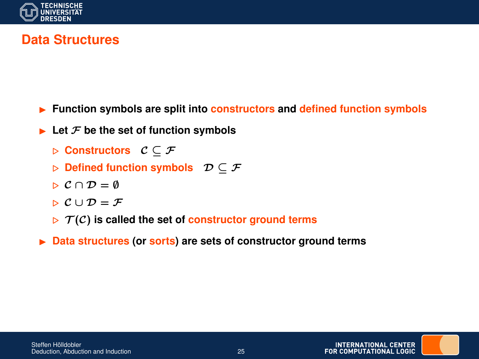

## **Data Structures**

- I **Function symbols are split into constructors and defined function symbols**
- $\blacktriangleright$  Let  $\digamma$  be the set of function symbols
	- . **Constructors** C ⊆ F
	- **Defined function symbols**  $\mathcal{D} \subset \mathcal{F}$
	- $\triangleright$   $\mathcal{C} \cap \mathcal{D} = \emptyset$
	- $\triangleright C \cup \mathcal{D} = \mathcal{F}$
	- $\triangleright$   $\mathcal{T}(\mathcal{C})$  is called the set of constructor ground terms
- ▶ Data structures (or sorts) are sets of constructor ground terms

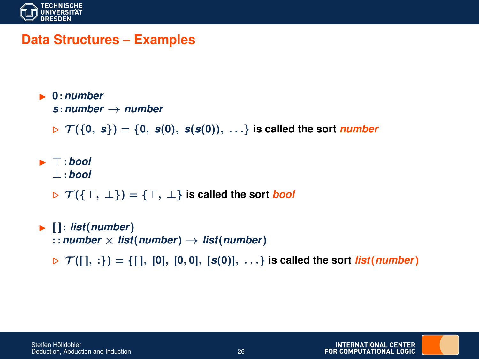

#### **Data Structures – Examples**

 $\blacksquare$  0 · *number* 

*s* :*number* → *number*

 $\mathcal{F}(\{0, s\}) = \{0, s(0), s(s(0)), \ldots\}$  is called the sort *number* 

 $\blacktriangleright$   $\top$ : bool ⊥:*bool*

 $\triangleright$   $\mathcal{T}(\{\top, \bot\}) = \{\top, \bot\}$  is called the sort *bool* 

 $\blacktriangleright$   $\lceil \cdot \text{list}(\text{number}) \rceil$ :: *number*  $\times$  *list*(*number*)  $\rightarrow$  *list*(*number*)  $\triangleright$   $\mathcal{T}([], :) = \{[], [0], [0, 0], [s(0)], ... \}$  is called the sort *list*(*number*)

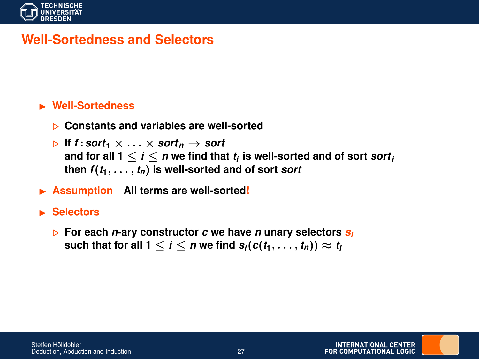

#### **Well-Sortedness and Selectors**

#### **E** Well-Sortedness

- . **Constants and variables are well-sorted**
- $\triangleright$  If *f* : sort<sub>1</sub>  $\times$  ...  $\times$  sort<sub>n</sub>  $\rightarrow$  sort and for all 1  $\leq$  *i*  $\leq$  *n* we find that  $t_i$  is well-sorted and of sort  $sort_i$ then  $f(t_1, \ldots, t_n)$  is well-sorted and of sort *sort*
- **EXECUTE:** Assumption All terms are well-sorted!

#### **In Selectors**

. **For each** *n***-ary constructor** *c* **we have** *n* **unary selectors** *s<sup>i</sup>* such that for all  $1 \leq i \leq n$  we find  $s_i(c(t_1, \ldots, t_n)) \approx t_i$ 

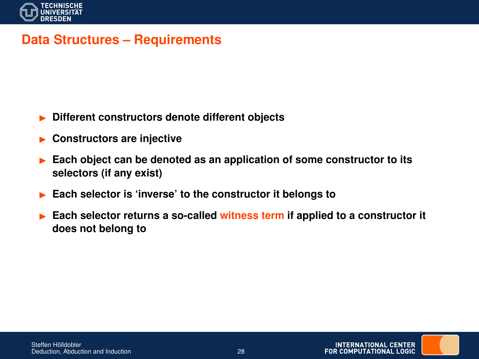

#### **Data Structures – Requirements**

- **Different constructors denote different objects**
- **Constructors are injective**
- I **Each object can be denoted as an application of some constructor to its selectors (if any exist)**
- Each selector is 'inverse' to the constructor it belongs to
- I **Each selector returns a so-called witness term if applied to a constructor it does not belong to**

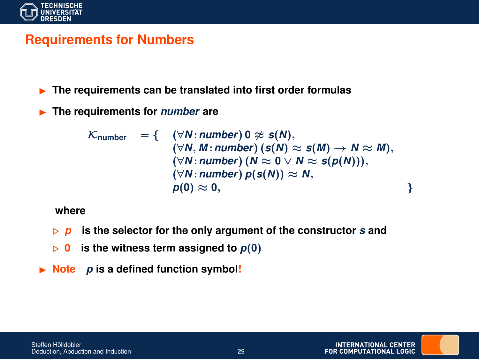

## **Requirements for Numbers**

**Fig. 2** The requirements can be translated into first order formulas

**In The requirements for** *number* **are** 

$$
\mathcal{K}_{\text{number}} = \{ \quad (\forall N: \text{number}) \ 0 \not\approx s(N), \\ (\forall N, M: \text{number}) (s(N) \approx s(M) \rightarrow N \approx M), \\ (\forall N: \text{number}) (N \approx 0 \lor N \approx s(p(N))), \\ (\forall N: \text{number}) p(s(N)) \approx N, \\ p(0) \approx 0, \qquad \qquad \}
$$

**where**

- $\triangleright$  **p** is the selector for the only argument of the constructor *s* and
- $\triangleright$  0 is the witness term assigned to  $p(0)$
- $\triangleright$  **Note** *p* is a defined function symbol!

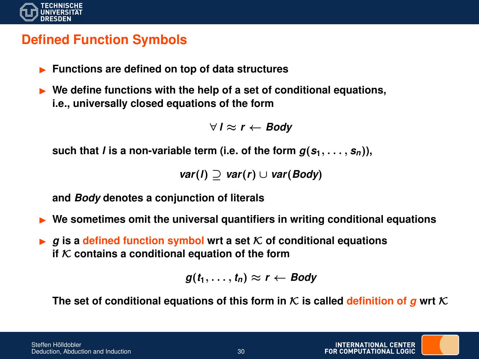

## **Defined Function Symbols**

- **Functions are defined on top of data structures**
- ▶ We define functions with the help of a set of conditional equations, **i.e., universally closed equations of the form**

```
∀ I ≈ r ← Body
```
such that *l* is a non-variable term (i.e. of the form  $g(s_1, \ldots, s_n)$ ),

```
var(l) ⊇ var(r) ∪ var(Body)
```
**and** *Body* **denotes a conjunction of literals**

- I **We sometimes omit the universal quantifiers in writing conditional equations**
- $\triangleright$  g is a defined function symbol wrt a set K of conditional equations **if**  $K$  contains a conditional equation of the form

$$
g(t_1,\ldots,t_n)\approx r\leftarrow Body
$$

The set of conditional equations of this form in  $K$  is called definition of *g* wrt  $K$ 

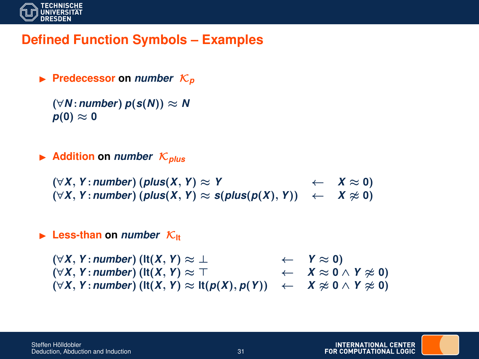

### **Defined Function Symbols – Examples**

 $\blacktriangleright$  **Predecessor** on *number*  $\mathcal{K}_p$ 

 $(\forall N:$ *number* $)$   $p(s(N)) \approx N$  $p(0) \approx 0$ 

 $\blacktriangleright$  Addition on *number*  $\mathcal{K}_{\text{plus}}$ 

(∀*X*, *Y* :*number*) (*plus*(*X*, *Y*) ≈ *Y* ← *X* ≈ **0**)  $(\forall X, Y : \textit{number})$  ( $\textit{plus}(X, Y) \approx \textit{s}(\textit{plus}(p(X), Y))$  ←  $X \approx 0$ )

#### $\blacktriangleright$  Less-than on *number*  $K_{\text{H}}$

(∀*X*, *Y* :*number*) (**lt**(*X*, *Y*) ≈ ⊥ ← *Y* ≈ **0**)  $(\forall X, Y : \textit{number})$  (**lt** $(X, Y) \approx T$   $\leftarrow$   $X \approx 0 \land Y \approx 0$ )  $(\forall X, Y:$  *number*) ( $\text{lt}(X, Y) \approx \text{lt}(p(X), p(Y)) \leftarrow X \approx 0 \land Y \approx 0$ )

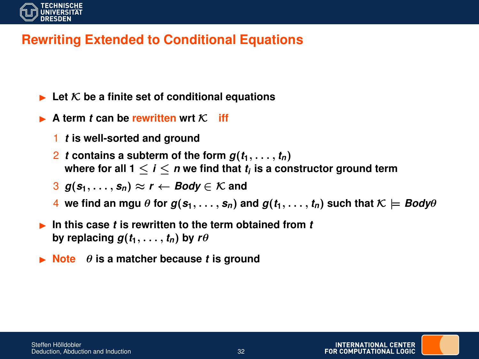

# **Rewriting Extended to Conditional Equations**

- $\blacktriangleright$  Let  $\mathcal K$  be a finite set of conditional equations
- A term *t* can be rewritten wrt  $K$  iff
	- 1 *t* **is well-sorted and ground**
	- 2 *t* contains a subterm of the form  $g(t_1, \ldots, t_n)$ where for all 1  $\leq$  *i*  $\leq$  *n* we find that  $t_i$  is a constructor ground term
	- $g(s_1, \ldots, s_n) \approx r \leftarrow$  *Body*  $\in \mathcal{K}$  and
	- 4 we find an mgu  $\theta$  for  $g(s_1, \ldots, s_n)$  and  $g(t_1, \ldots, t_n)$  such that  $\mathcal{K} \models \textit{Body}\theta$
- In this case *t* is rewritten to the term obtained from *t* by replacing  $g(t_1, \ldots, t_n)$  by  $r\theta$
- $\triangleright$  **Note**  $\theta$  **is a matcher because** *t* **is ground**

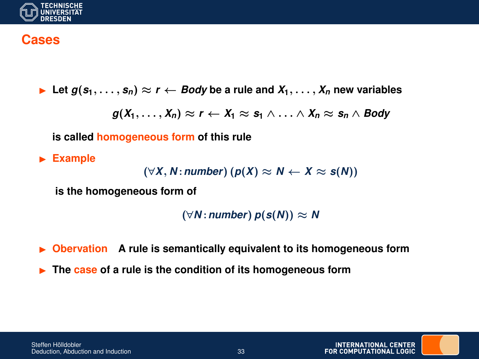

#### **Cases**

**►** Let  $g(s_1, \ldots, s_n)$  ≈  $r$  ← *Body* be a rule and  $X_1, \ldots, X_n$  new variables

 $g(X_1, \ldots, X_n) \approx r \leftarrow X_1 \approx s_1 \wedge \ldots \wedge X_n \approx s_n \wedge Body$ 

**is called homogeneous form of this rule**

**Example** 

```
(\forall X, N : \text{number}) (p(X) \approx N \leftarrow X \approx s(N))
```
**is the homogeneous form of**

 $(\forall N:$ *number* $)$   $p(s(N)) \approx N$ 

► Obervation A rule is semantically equivalent to its homogeneous form

▶ The case of a rule is the condition of its homogeneous form

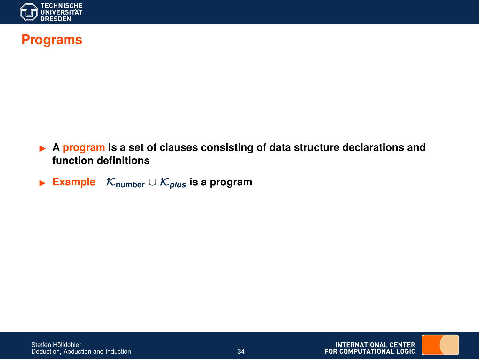

## **Programs**

- ▶ A **program** is a set of clauses consisting of data structure declarations and **function definitions**
- I **Example** K**number** ∪ K*plus* **is a program**



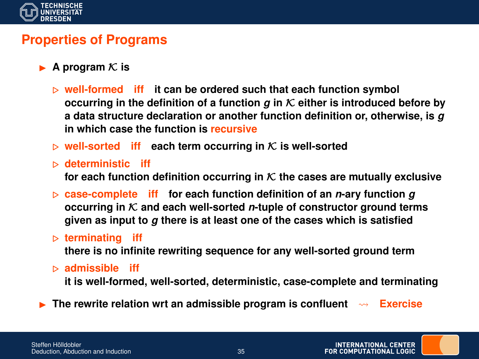

#### **Properties of Programs**

- A program  $K$  is
	- . **well-formed iff it can be ordered such that each function symbol occurring in the definition of a function**  $q$  **in**  $K$  **either is introduced before by a data structure declaration or another function definition or, otherwise, is** *g* **in which case the function is recursive**
	- $\triangleright$  well-sorted **iff** each term occurring in K is well-sorted
	- . **deterministic iff** for each function definition occurring in  $K$  the cases are mutually exclusive
	- $\triangleright$  case-complete **iff** for each function definition of an *n*-ary function *g* **occurring in** K **and each well-sorted** *n***-tuple of constructor ground terms given as input to** *g* **there is at least one of the cases which is satisfied**
	- . **terminating iff**

**there is no infinite rewriting sequence for any well-sorted ground term**

. **admissible iff**

**it is well-formed, well-sorted, deterministic, case-complete and terminating**

**Figure 1)** The rewrite relation wrt an admissible program is confluent  $\sim$  Exercise

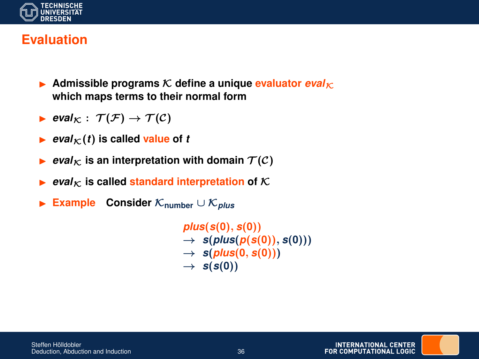

### **Evaluation**

- $\triangleright$  Admissible programs  $\mathcal K$  define a unique evaluator  $eval_{\mathcal K}$ **which maps terms to their normal form**
- $\blacktriangleright$  eval<sub>K</sub> :  $\mathcal{T}(\mathcal{F}) \rightarrow \mathcal{T}(\mathcal{C})$
- $\blacktriangleright$  *eval*<sub>K</sub> $(t)$  is called value of *t*
- *eval*<sub>K</sub> is an interpretation with domain  $T(C)$
- $\blacktriangleright$  *eval*<sub>K</sub> is called standard interpretation of K
- I **Example Consider** K**number** ∪ K*plus*

*plus*(*s*(**0**), *s*(**0**))  $\rightarrow$  *s*(*plus*(*p*(*s*(0)), *s*(0)))  $\rightarrow$  *s*(*plus*(0, *s*(0)))  $\rightarrow$  *s*(*s*(0))

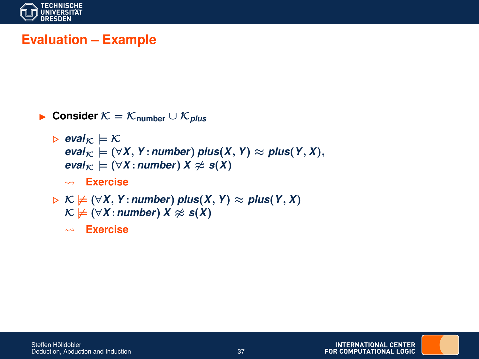

# **Evaluation – Example**

- I **Consider** K = K**number** ∪ K*plus*
	- $\triangleright$  eval<sub> $\kappa \models \mathcal{K}$ </sub>  $eval_{\mathcal{K}} \models (\forall X, Y : number)$  *plus*(*X*, *Y*)  $\approx$  *plus*(*Y*, *X*),  $eval_{K} \models (\forall X : number) X \approx s(X)$ **Exercise**
	- $\triangleright$  K  $\nvdash$  ( $\forall$ *X*, *Y* : *number*) *plus*(*X*, *Y*)  $\approx$  *plus*(*Y*, *X*)  $\mathcal{K} \not\models (\forall X : \textit{number}) \ X \not\approx s(X)$ 
		- **Exercise**

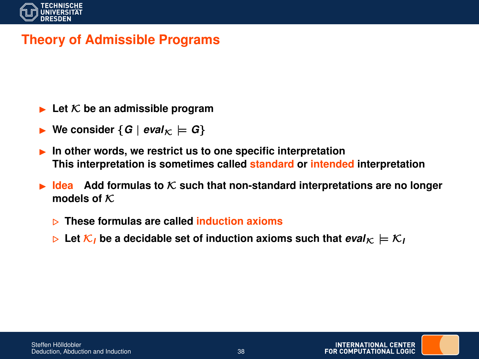

## **Theory of Admissible Programs**

- $\blacktriangleright$  Let  $\mathcal K$  be an admissible program
- We consider  ${G \mid eval_{K} \models G}$
- In other words, we restrict us to one specific interpretation **This interpretation is sometimes called standard or intended interpretation**
- **Idea** Add formulas to K such that non-standard interpretations are no longer **models of** K
	- . **These formulas are called induction axioms**
	- $\triangleright$  Let  $\mathcal{K}_I$  be a decidable set of induction axioms such that  $eval_{\mathcal{K}} \models \mathcal{K}_I$

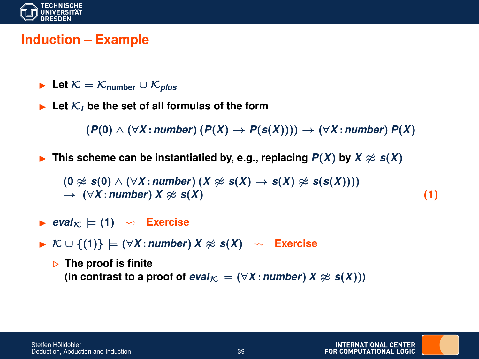

### **Induction – Example**

- **► Let**  $K = K$ <sub>number</sub>  $\cup K$ <sub>*plus*</sub>
- $\blacktriangleright$  Let  $\mathcal{K}_I$  be the set of all formulas of the form

(*P*(**0**) ∧ (∀*X* :*number*) (*P*(*X*) → *P*(*s*(*X*)))) → (∀*X* :*number*) *P*(*X*)

**F** This scheme can be instantiatied by, e.g., replacing  $P(X)$  by  $X \approx s(X)$ 

 $(0 \approx s(0) \land (\forall X : \text{number}) (X \approx s(X) \rightarrow s(X) \approx s(s(X)))$  $\rightarrow$   $(\forall X : number) X \approx s(X)$  (1)

- $\blacktriangleright$  *eval*<sub>K</sub>  $\models$  (1)  $\rightsquigarrow$  **Exercise**
- **IF**  $K \cup \{(1)\}$   $\models$   $(\forall X : \text{number}) X \not\approx s(X)$   $\rightsquigarrow$  **Exercise**

. **The proof is finite**  $(\text{in contrast to a proof of *eval*<sub>K</sub>) = (\forall X : number X \approx s(X)))$